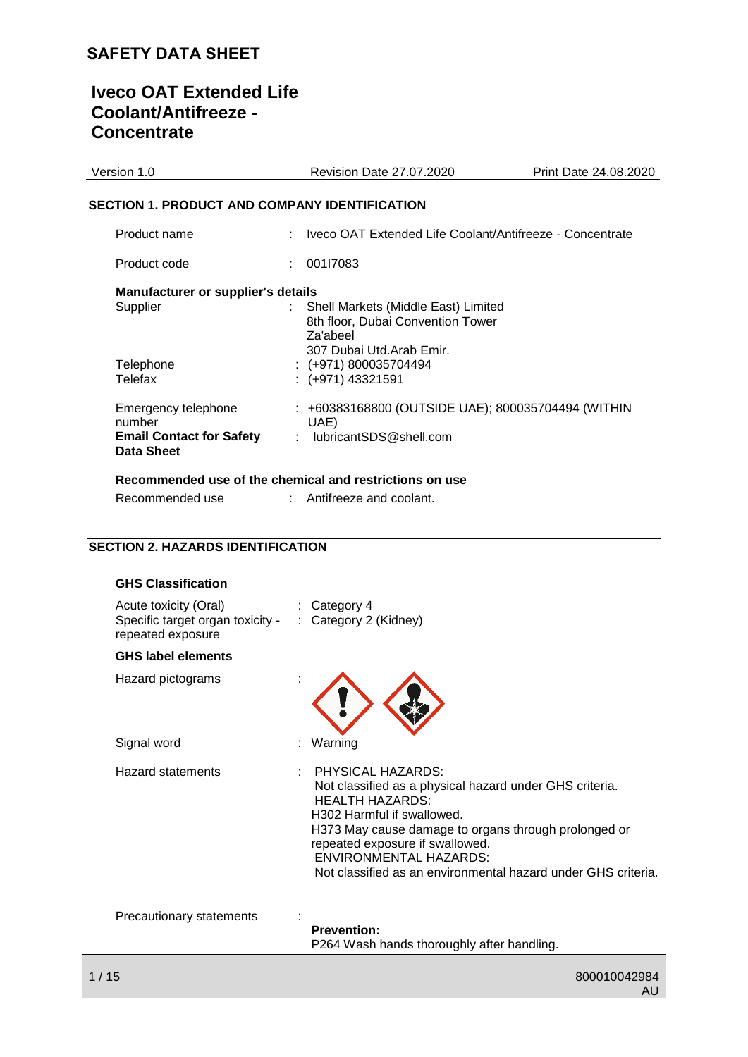# **Iveco OAT Extended Life Coolant/Antifreeze - Concentrate**

| Version 1.0                                                                           | <b>Revision Date 27.07.2020</b>                                                            | Print Date 24.08.2020 |
|---------------------------------------------------------------------------------------|--------------------------------------------------------------------------------------------|-----------------------|
| <b>SECTION 1. PRODUCT AND COMPANY IDENTIFICATION</b>                                  |                                                                                            |                       |
| Product name                                                                          | : Iveco OAT Extended Life Coolant/Antifreeze - Concentrate                                 |                       |
| Product code                                                                          | 00117083                                                                                   |                       |
| Manufacturer or supplier's details<br>Supplier                                        | Shell Markets (Middle East) Limited<br>÷.<br>8th floor, Dubai Convention Tower<br>Za'abeel |                       |
| Telephone<br>Telefax                                                                  | 307 Dubai Utd.Arab Emir.<br>$: (+971) 800035704494$<br>$: (+971)$ 43321591                 |                       |
| Emergency telephone<br>number<br><b>Email Contact for Safety</b><br><b>Data Sheet</b> | : +60383168800 (OUTSIDE UAE); 800035704494 (WITHIN<br>UAE)<br>: lubricantSDS@shell.com     |                       |
|                                                                                       | Recommended use of the chemical and restrictions on use                                    |                       |
| Recommended use                                                                       | $:$ Antifreeze and coolant.                                                                |                       |

### **SECTION 2. HAZARDS IDENTIFICATION**

| <b>GHS Classification</b>                                                      |                                                                                                                                                                                                                                                                                                                                   |
|--------------------------------------------------------------------------------|-----------------------------------------------------------------------------------------------------------------------------------------------------------------------------------------------------------------------------------------------------------------------------------------------------------------------------------|
| Acute toxicity (Oral)<br>Specific target organ toxicity -<br>repeated exposure | $\therefore$ Category 4<br>: Category 2 (Kidney)                                                                                                                                                                                                                                                                                  |
| <b>GHS label elements</b>                                                      |                                                                                                                                                                                                                                                                                                                                   |
| Hazard pictograms                                                              |                                                                                                                                                                                                                                                                                                                                   |
| Signal word                                                                    | Warning                                                                                                                                                                                                                                                                                                                           |
| <b>Hazard statements</b>                                                       | PHYSICAL HAZARDS:<br>Not classified as a physical hazard under GHS criteria.<br><b>HEALTH HAZARDS:</b><br>H302 Harmful if swallowed.<br>H373 May cause damage to organs through prolonged or<br>repeated exposure if swallowed.<br><b>ENVIRONMENTAL HAZARDS:</b><br>Not classified as an environmental hazard under GHS criteria. |
| Precautionary statements                                                       | <b>Prevention:</b><br>P264 Wash hands thoroughly after handling.                                                                                                                                                                                                                                                                  |
|                                                                                |                                                                                                                                                                                                                                                                                                                                   |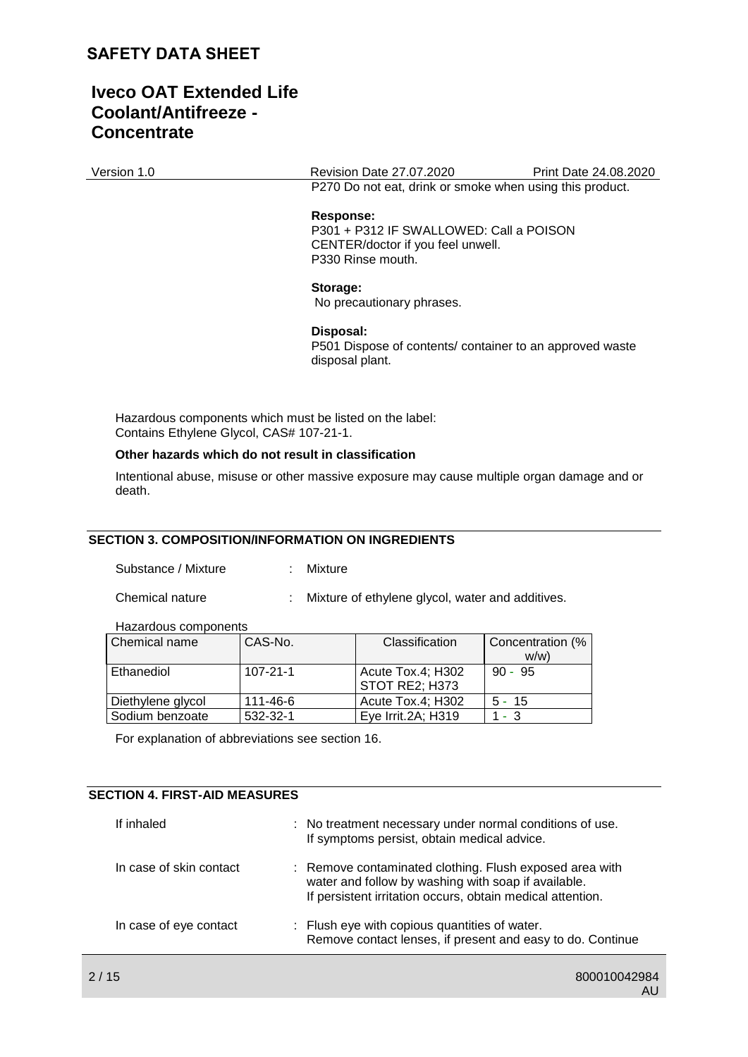### **Iveco OAT Extended Life Coolant/Antifreeze - Concentrate**

Version 1.0 Revision Date 27.07.2020 Print Date 24.08.2020 P270 Do not eat, drink or smoke when using this product.

#### **Response:**

P301 + P312 IF SWALLOWED: Call a POISON CENTER/doctor if you feel unwell. P330 Rinse mouth.

#### **Storage:**

No precautionary phrases.

#### **Disposal:**

P501 Dispose of contents/ container to an approved waste disposal plant.

Hazardous components which must be listed on the label: Contains Ethylene Glycol, CAS# 107-21-1.

#### **Other hazards which do not result in classification**

Intentional abuse, misuse or other massive exposure may cause multiple organ damage and or death.

#### **SECTION 3. COMPOSITION/INFORMATION ON INGREDIENTS**

Substance / Mixture : Mixture

Chemical nature : Mixture of ethylene glycol, water and additives.

Hazardous components

| Chemical name     | CAS-No.        | Classification     | Concentration (% |
|-------------------|----------------|--------------------|------------------|
|                   |                |                    | w/w              |
| Ethanediol        | $107 - 21 - 1$ | Acute Tox.4; H302  | $90 - 95$        |
|                   |                | STOT RE2: H373     |                  |
| Diethylene glycol | 111-46-6       | Acute Tox.4; H302  | $5 - 15$         |
| Sodium benzoate   | 532-32-1       | Eye Irrit.2A; H319 | 1 - 3            |

For explanation of abbreviations see section 16.

#### **SECTION 4. FIRST-AID MEASURES**

| If inhaled              | : No treatment necessary under normal conditions of use.<br>If symptoms persist, obtain medical advice.                                                                      |
|-------------------------|------------------------------------------------------------------------------------------------------------------------------------------------------------------------------|
| In case of skin contact | : Remove contaminated clothing. Flush exposed area with<br>water and follow by washing with soap if available.<br>If persistent irritation occurs, obtain medical attention. |
| In case of eye contact  | : Flush eye with copious quantities of water.<br>Remove contact lenses, if present and easy to do. Continue                                                                  |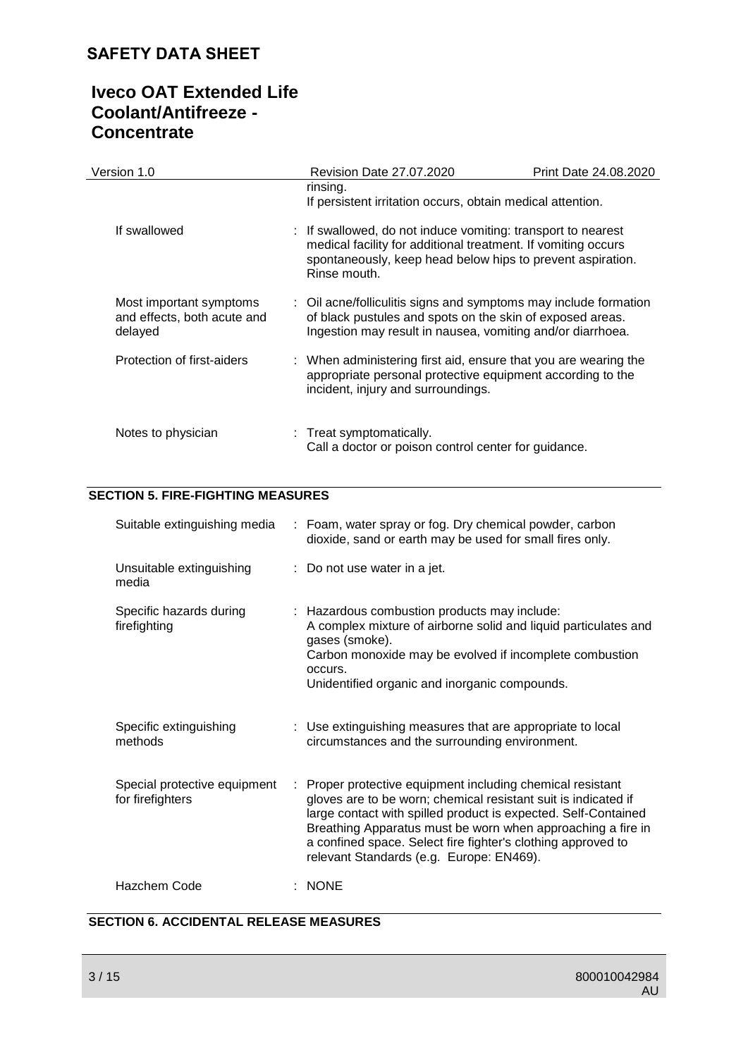# **Iveco OAT Extended Life Coolant/Antifreeze - Concentrate**

| Version 1.0                                                       | Revision Date 27.07.2020                                                                                                                                                                                    | <b>Print Date 24.08.2020</b> |
|-------------------------------------------------------------------|-------------------------------------------------------------------------------------------------------------------------------------------------------------------------------------------------------------|------------------------------|
|                                                                   | rinsing.<br>If persistent irritation occurs, obtain medical attention.                                                                                                                                      |                              |
| If swallowed                                                      | : If swallowed, do not induce vomiting: transport to nearest<br>medical facility for additional treatment. If vomiting occurs<br>spontaneously, keep head below hips to prevent aspiration.<br>Rinse mouth. |                              |
| Most important symptoms<br>and effects, both acute and<br>delayed | : Oil acne/folliculitis signs and symptoms may include formation<br>of black pustules and spots on the skin of exposed areas.<br>Ingestion may result in nausea, vomiting and/or diarrhoea.                 |                              |
| Protection of first-aiders                                        | : When administering first aid, ensure that you are wearing the<br>appropriate personal protective equipment according to the<br>incident, injury and surroundings.                                         |                              |
| Notes to physician                                                | : Treat symptomatically.<br>Call a doctor or poison control center for guidance.                                                                                                                            |                              |

### **SECTION 5. FIRE-FIGHTING MEASURES**

| Suitable extinguishing media                     |    | : Foam, water spray or fog. Dry chemical powder, carbon<br>dioxide, sand or earth may be used for small fires only.                                                                                                                                                                                                                                                     |
|--------------------------------------------------|----|-------------------------------------------------------------------------------------------------------------------------------------------------------------------------------------------------------------------------------------------------------------------------------------------------------------------------------------------------------------------------|
| Unsuitable extinguishing<br>media                |    | $\therefore$ Do not use water in a jet.                                                                                                                                                                                                                                                                                                                                 |
| Specific hazards during<br>firefighting          |    | : Hazardous combustion products may include:<br>A complex mixture of airborne solid and liquid particulates and<br>gases (smoke).<br>Carbon monoxide may be evolved if incomplete combustion<br>occurs.<br>Unidentified organic and inorganic compounds.                                                                                                                |
| Specific extinguishing<br>methods                |    | : Use extinguishing measures that are appropriate to local<br>circumstances and the surrounding environment.                                                                                                                                                                                                                                                            |
| Special protective equipment<br>for firefighters | ÷. | Proper protective equipment including chemical resistant<br>gloves are to be worn; chemical resistant suit is indicated if<br>large contact with spilled product is expected. Self-Contained<br>Breathing Apparatus must be worn when approaching a fire in<br>a confined space. Select fire fighter's clothing approved to<br>relevant Standards (e.g. Europe: EN469). |
| Hazchem Code                                     |    | $:$ NONE                                                                                                                                                                                                                                                                                                                                                                |

### **SECTION 6. ACCIDENTAL RELEASE MEASURES**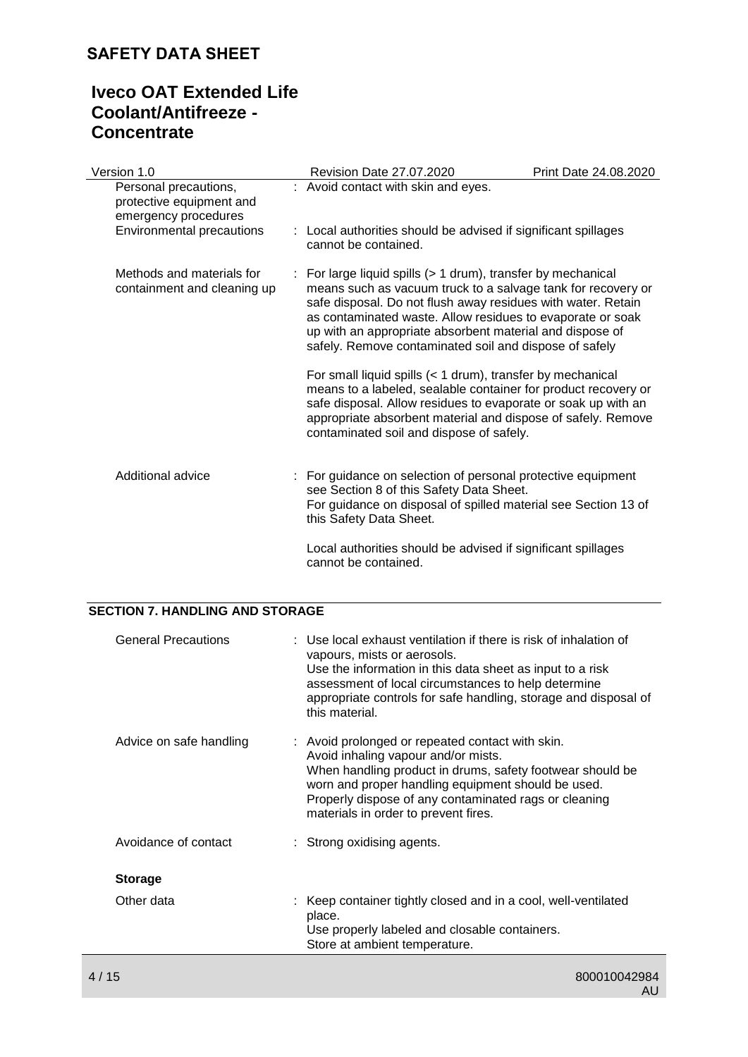# **Iveco OAT Extended Life Coolant/Antifreeze - Concentrate**

| Version 1.0                                                               | Revision Date 27.07.2020                                                                                                                                                                                                                                                                                                                                                           | Print Date 24.08.2020 |
|---------------------------------------------------------------------------|------------------------------------------------------------------------------------------------------------------------------------------------------------------------------------------------------------------------------------------------------------------------------------------------------------------------------------------------------------------------------------|-----------------------|
| Personal precautions,<br>protective equipment and<br>emergency procedures | : Avoid contact with skin and eyes.                                                                                                                                                                                                                                                                                                                                                |                       |
| Environmental precautions                                                 | : Local authorities should be advised if significant spillages<br>cannot be contained.                                                                                                                                                                                                                                                                                             |                       |
| Methods and materials for<br>containment and cleaning up                  | : For large liquid spills $(> 1$ drum), transfer by mechanical<br>means such as vacuum truck to a salvage tank for recovery or<br>safe disposal. Do not flush away residues with water. Retain<br>as contaminated waste. Allow residues to evaporate or soak<br>up with an appropriate absorbent material and dispose of<br>safely. Remove contaminated soil and dispose of safely |                       |
|                                                                           | For small liquid spills (< 1 drum), transfer by mechanical<br>means to a labeled, sealable container for product recovery or<br>safe disposal. Allow residues to evaporate or soak up with an<br>appropriate absorbent material and dispose of safely. Remove<br>contaminated soil and dispose of safely.                                                                          |                       |
| Additional advice                                                         | : For guidance on selection of personal protective equipment<br>see Section 8 of this Safety Data Sheet.<br>For guidance on disposal of spilled material see Section 13 of<br>this Safety Data Sheet.                                                                                                                                                                              |                       |
|                                                                           | Local authorities should be advised if significant spillages<br>cannot be contained.                                                                                                                                                                                                                                                                                               |                       |

#### **SECTION 7. HANDLING AND STORAGE**

| <b>General Precautions</b> | : Use local exhaust ventilation if there is risk of inhalation of<br>vapours, mists or aerosols.<br>Use the information in this data sheet as input to a risk<br>assessment of local circumstances to help determine<br>appropriate controls for safe handling, storage and disposal of<br>this material.   |
|----------------------------|-------------------------------------------------------------------------------------------------------------------------------------------------------------------------------------------------------------------------------------------------------------------------------------------------------------|
| Advice on safe handling    | : Avoid prolonged or repeated contact with skin.<br>Avoid inhaling vapour and/or mists.<br>When handling product in drums, safety footwear should be<br>worn and proper handling equipment should be used.<br>Properly dispose of any contaminated rags or cleaning<br>materials in order to prevent fires. |
| Avoidance of contact       | : Strong oxidising agents.                                                                                                                                                                                                                                                                                  |
| <b>Storage</b>             |                                                                                                                                                                                                                                                                                                             |
| Other data                 | : Keep container tightly closed and in a cool, well-ventilated<br>place.<br>Use properly labeled and closable containers.<br>Store at ambient temperature.                                                                                                                                                  |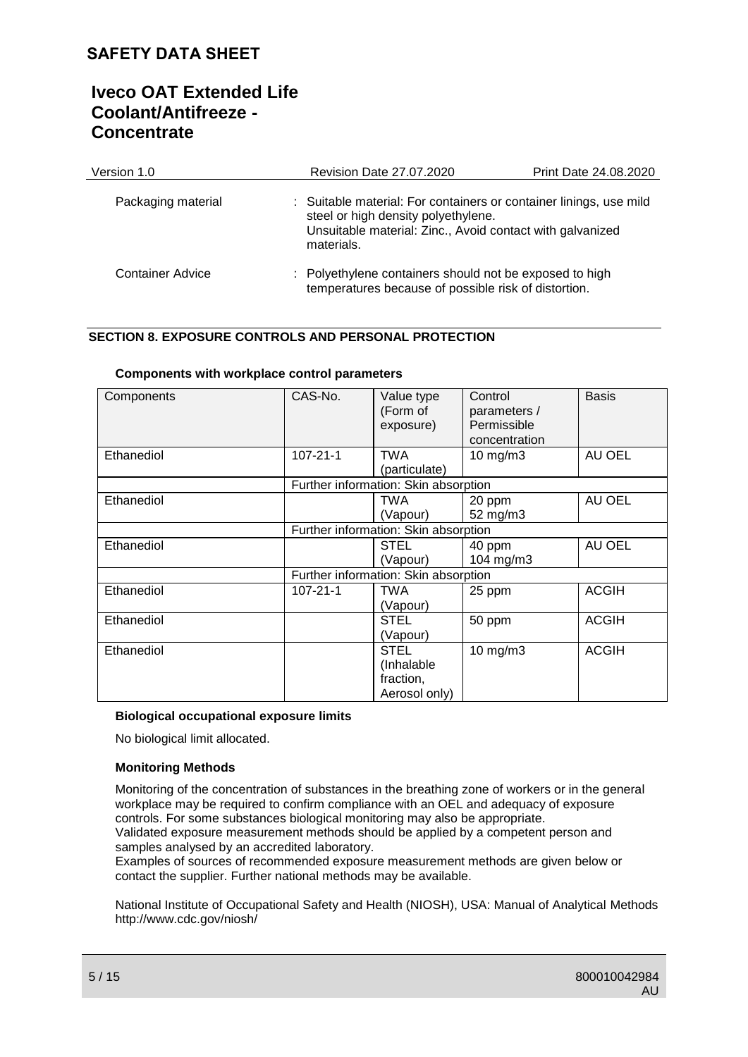# **Iveco OAT Extended Life Coolant/Antifreeze - Concentrate**

| Version 1.0        | <b>Revision Date 27.07.2020</b>                                                                                                                                                      | Print Date 24.08.2020 |
|--------------------|--------------------------------------------------------------------------------------------------------------------------------------------------------------------------------------|-----------------------|
| Packaging material | : Suitable material: For containers or container linings, use mild<br>steel or high density polyethylene.<br>Unsuitable material: Zinc., Avoid contact with galvanized<br>materials. |                       |
| Container Advice   | : Polyethylene containers should not be exposed to high<br>temperatures because of possible risk of distortion.                                                                      |                       |

### **SECTION 8. EXPOSURE CONTROLS AND PERSONAL PROTECTION**

| Components | CAS-No.                              | Value type<br>(Form of<br>exposure)                     | Control<br>parameters /<br>Permissible<br>concentration | <b>Basis</b> |  |  |
|------------|--------------------------------------|---------------------------------------------------------|---------------------------------------------------------|--------------|--|--|
| Ethanediol | $107 - 21 - 1$                       | <b>TWA</b><br>(particulate)                             | $10 \text{ mg/m}$                                       | AU OEL       |  |  |
|            |                                      | Further information: Skin absorption                    |                                                         |              |  |  |
| Ethanediol |                                      | TWA<br>(Vapour)                                         | 20 ppm<br>52 mg/m3                                      | AU OEL       |  |  |
|            | Further information: Skin absorption |                                                         |                                                         |              |  |  |
| Ethanediol |                                      | <b>STEL</b><br>(Vapour)                                 | 40 ppm<br>104 mg/m3                                     | AU OEL       |  |  |
|            | Further information: Skin absorption |                                                         |                                                         |              |  |  |
| Ethanediol | $107 - 21 - 1$                       | TWA<br>(Vapour)                                         | 25 ppm                                                  | <b>ACGIH</b> |  |  |
| Ethanediol |                                      | <b>STEL</b><br>(Vapour)                                 | 50 ppm                                                  | <b>ACGIH</b> |  |  |
| Ethanediol |                                      | <b>STEL</b><br>(Inhalable<br>fraction,<br>Aerosol only) | $10 \text{ mg/m}$                                       | <b>ACGIH</b> |  |  |

#### **Components with workplace control parameters**

#### **Biological occupational exposure limits**

No biological limit allocated.

#### **Monitoring Methods**

Monitoring of the concentration of substances in the breathing zone of workers or in the general workplace may be required to confirm compliance with an OEL and adequacy of exposure controls. For some substances biological monitoring may also be appropriate. Validated exposure measurement methods should be applied by a competent person and samples analysed by an accredited laboratory.

Examples of sources of recommended exposure measurement methods are given below or contact the supplier. Further national methods may be available.

National Institute of Occupational Safety and Health (NIOSH), USA: Manual of Analytical Methods http://www.cdc.gov/niosh/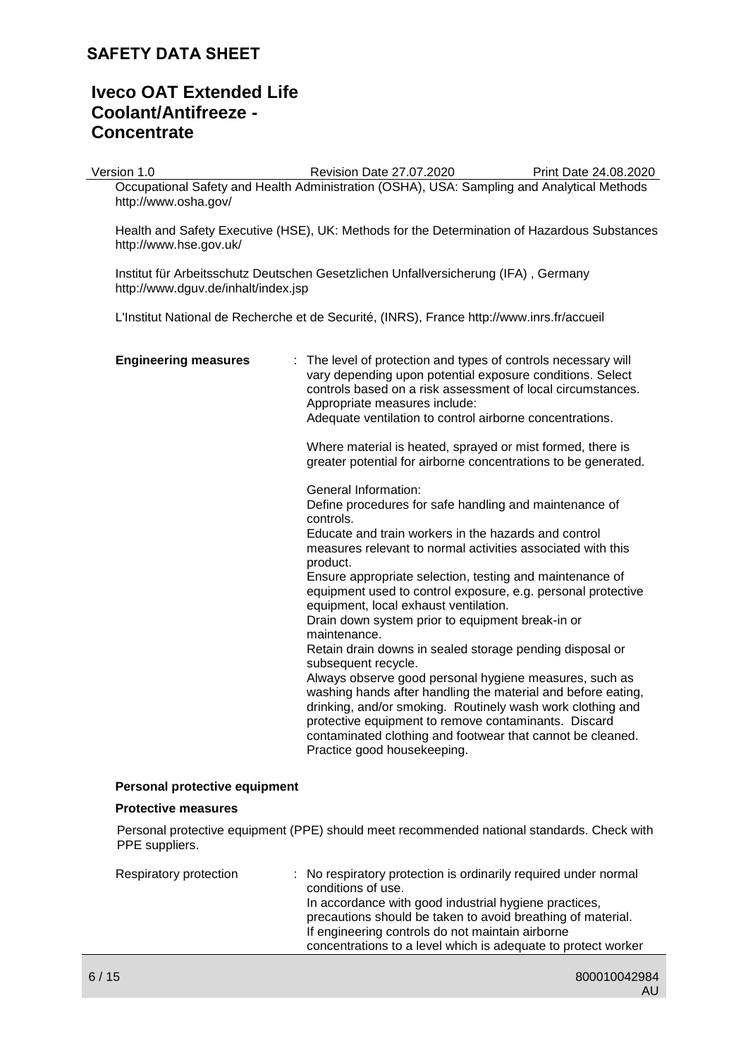# **Iveco OAT Extended Life Coolant/Antifreeze - Concentrate**

Version 1.0 Revision Date 27.07.2020 Print Date 24.08.2020

Occupational Safety and Health Administration (OSHA), USA: Sampling and Analytical Methods http://www.osha.gov/

Health and Safety Executive (HSE), UK: Methods for the Determination of Hazardous Substances http://www.hse.gov.uk/

Institut für Arbeitsschutz Deutschen Gesetzlichen Unfallversicherung (IFA) , Germany http://www.dguv.de/inhalt/index.jsp

L'Institut National de Recherche et de Securité, (INRS), France http://www.inrs.fr/accueil

| <b>Engineering measures</b>   | : The level of protection and types of controls necessary will<br>vary depending upon potential exposure conditions. Select<br>controls based on a risk assessment of local circumstances.<br>Appropriate measures include:<br>Adequate ventilation to control airborne concentrations.                                                                                                                                                                                                                                                                                                                                                                                                                                                                                                                                                                                                                 |
|-------------------------------|---------------------------------------------------------------------------------------------------------------------------------------------------------------------------------------------------------------------------------------------------------------------------------------------------------------------------------------------------------------------------------------------------------------------------------------------------------------------------------------------------------------------------------------------------------------------------------------------------------------------------------------------------------------------------------------------------------------------------------------------------------------------------------------------------------------------------------------------------------------------------------------------------------|
|                               | Where material is heated, sprayed or mist formed, there is<br>greater potential for airborne concentrations to be generated.                                                                                                                                                                                                                                                                                                                                                                                                                                                                                                                                                                                                                                                                                                                                                                            |
|                               | General Information:<br>Define procedures for safe handling and maintenance of<br>controls.<br>Educate and train workers in the hazards and control<br>measures relevant to normal activities associated with this<br>product.<br>Ensure appropriate selection, testing and maintenance of<br>equipment used to control exposure, e.g. personal protective<br>equipment, local exhaust ventilation.<br>Drain down system prior to equipment break-in or<br>maintenance.<br>Retain drain downs in sealed storage pending disposal or<br>subsequent recycle.<br>Always observe good personal hygiene measures, such as<br>washing hands after handling the material and before eating,<br>drinking, and/or smoking. Routinely wash work clothing and<br>protective equipment to remove contaminants. Discard<br>contaminated clothing and footwear that cannot be cleaned.<br>Practice good housekeeping. |
| Personal protective equipment |                                                                                                                                                                                                                                                                                                                                                                                                                                                                                                                                                                                                                                                                                                                                                                                                                                                                                                         |

#### **Protective measures**

Personal protective equipment (PPE) should meet recommended national standards. Check with PPE suppliers.

| Respiratory protection | : No respiratory protection is ordinarily required under normal<br>conditions of use.                                |  |
|------------------------|----------------------------------------------------------------------------------------------------------------------|--|
|                        | In accordance with good industrial hygiene practices,<br>precautions should be taken to avoid breathing of material. |  |
|                        | If engineering controls do not maintain airborne                                                                     |  |
|                        | concentrations to a level which is adequate to protect worker                                                        |  |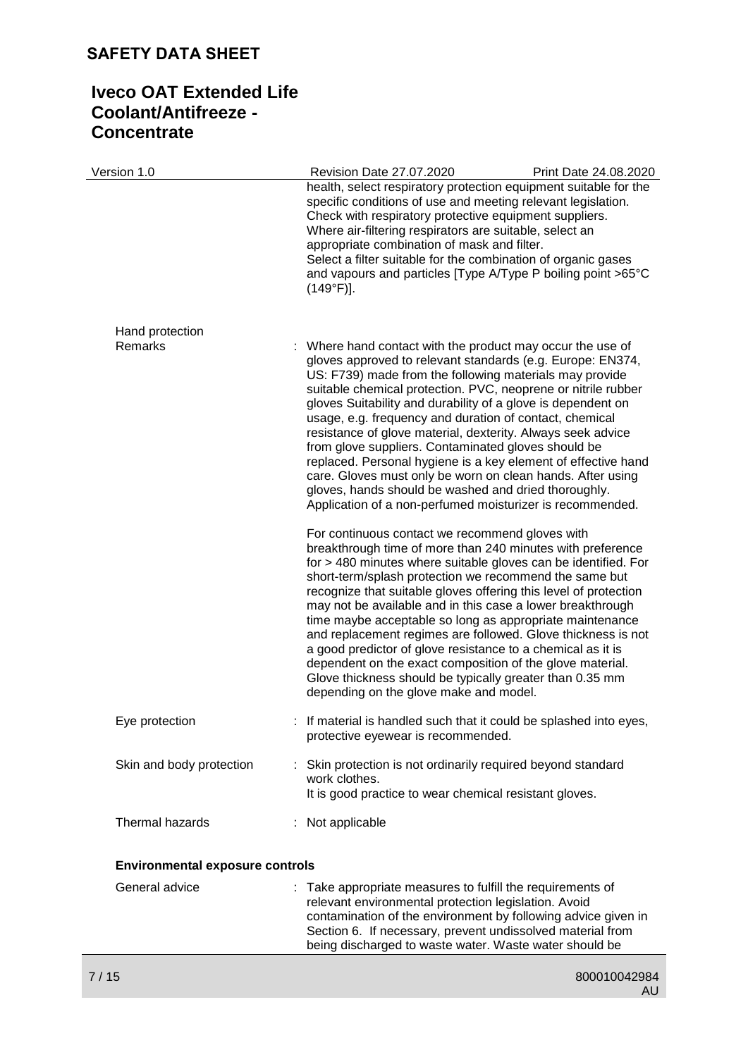# **Iveco OAT Extended Life Coolant/Antifreeze - Concentrate**

| Version 1.0                            | Revision Date 27.07.2020                                                                                                                                                                                                                                                                                                                                                                                                                                                                                                                                                                                                                                                                                                                                                                               | Print Date 24.08.2020                                            |
|----------------------------------------|--------------------------------------------------------------------------------------------------------------------------------------------------------------------------------------------------------------------------------------------------------------------------------------------------------------------------------------------------------------------------------------------------------------------------------------------------------------------------------------------------------------------------------------------------------------------------------------------------------------------------------------------------------------------------------------------------------------------------------------------------------------------------------------------------------|------------------------------------------------------------------|
|                                        | specific conditions of use and meeting relevant legislation.<br>Check with respiratory protective equipment suppliers.<br>Where air-filtering respirators are suitable, select an<br>appropriate combination of mask and filter.<br>Select a filter suitable for the combination of organic gases<br>and vapours and particles [Type A/Type P boiling point >65°C<br>$(149°F)$ ].                                                                                                                                                                                                                                                                                                                                                                                                                      | health, select respiratory protection equipment suitable for the |
| Hand protection<br>Remarks             | Where hand contact with the product may occur the use of<br>gloves approved to relevant standards (e.g. Europe: EN374,<br>US: F739) made from the following materials may provide<br>suitable chemical protection. PVC, neoprene or nitrile rubber<br>gloves Suitability and durability of a glove is dependent on<br>usage, e.g. frequency and duration of contact, chemical<br>resistance of glove material, dexterity. Always seek advice<br>from glove suppliers. Contaminated gloves should be<br>replaced. Personal hygiene is a key element of effective hand<br>care. Gloves must only be worn on clean hands. After using<br>gloves, hands should be washed and dried thoroughly.                                                                                                             |                                                                  |
|                                        | Application of a non-perfumed moisturizer is recommended.<br>For continuous contact we recommend gloves with<br>breakthrough time of more than 240 minutes with preference<br>for > 480 minutes where suitable gloves can be identified. For<br>short-term/splash protection we recommend the same but<br>recognize that suitable gloves offering this level of protection<br>may not be available and in this case a lower breakthrough<br>time maybe acceptable so long as appropriate maintenance<br>and replacement regimes are followed. Glove thickness is not<br>a good predictor of glove resistance to a chemical as it is<br>dependent on the exact composition of the glove material.<br>Glove thickness should be typically greater than 0.35 mm<br>depending on the glove make and model. |                                                                  |
| Eye protection                         | : If material is handled such that it could be splashed into eyes,<br>protective eyewear is recommended.                                                                                                                                                                                                                                                                                                                                                                                                                                                                                                                                                                                                                                                                                               |                                                                  |
| Skin and body protection               | Skin protection is not ordinarily required beyond standard<br>work clothes.<br>It is good practice to wear chemical resistant gloves.                                                                                                                                                                                                                                                                                                                                                                                                                                                                                                                                                                                                                                                                  |                                                                  |
| Thermal hazards                        | : Not applicable                                                                                                                                                                                                                                                                                                                                                                                                                                                                                                                                                                                                                                                                                                                                                                                       |                                                                  |
| <b>Environmental exposure controls</b> |                                                                                                                                                                                                                                                                                                                                                                                                                                                                                                                                                                                                                                                                                                                                                                                                        |                                                                  |
| General advice                         | : Take appropriate measures to fulfill the requirements of<br>relevant environmental protection legislation. Avoid<br>contamination of the environment by following advice given in                                                                                                                                                                                                                                                                                                                                                                                                                                                                                                                                                                                                                    |                                                                  |

Section 6. If necessary, prevent undissolved material from being discharged to waste water. Waste water should be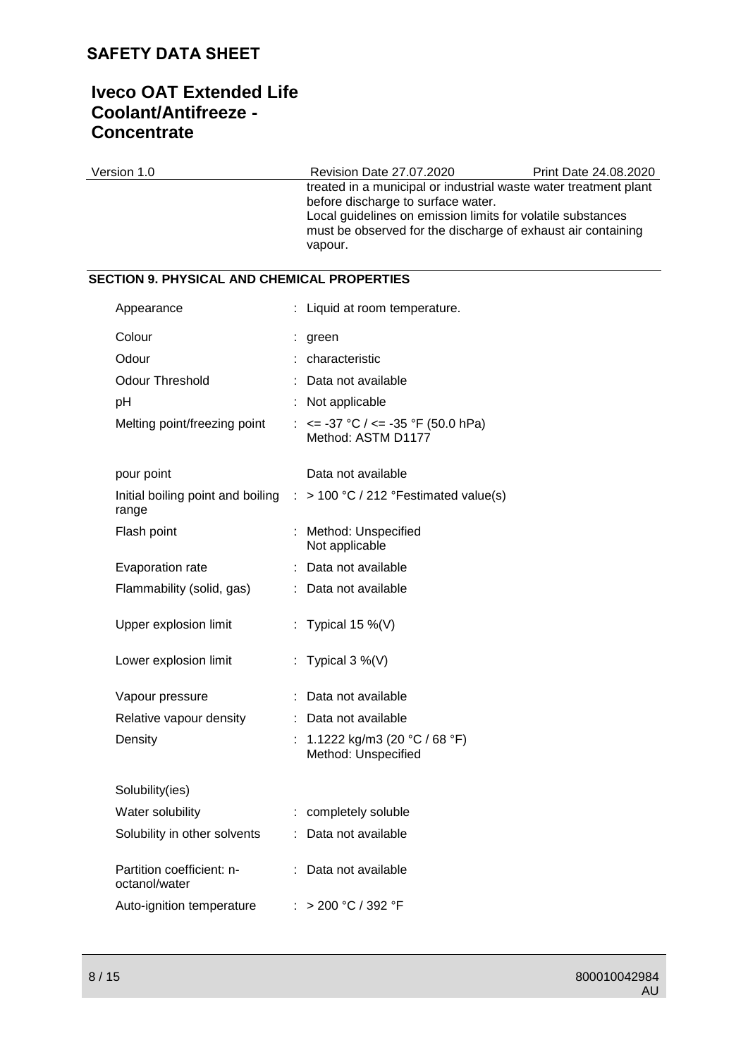# **Iveco OAT Extended Life Coolant/Antifreeze - Concentrate**

| Version 1.0                                        | Revision Date 27.07.2020                                                                                                                                                                                                                         | Print Date 24.08.2020 |
|----------------------------------------------------|--------------------------------------------------------------------------------------------------------------------------------------------------------------------------------------------------------------------------------------------------|-----------------------|
|                                                    | treated in a municipal or industrial waste water treatment plant<br>before discharge to surface water.<br>Local guidelines on emission limits for volatile substances<br>must be observed for the discharge of exhaust air containing<br>vapour. |                       |
| <b>SECTION 9. PHYSICAL AND CHEMICAL PROPERTIES</b> |                                                                                                                                                                                                                                                  |                       |
| Appearance                                         | Liquid at room temperature.                                                                                                                                                                                                                      |                       |
| Colour                                             | green                                                                                                                                                                                                                                            |                       |
| Odour                                              | characteristic                                                                                                                                                                                                                                   |                       |
| <b>Odour Threshold</b>                             | Data not available                                                                                                                                                                                                                               |                       |
| pH                                                 | Not applicable                                                                                                                                                                                                                                   |                       |
| Melting point/freezing point                       | : $\le$ -37 °C / $\le$ -35 °F (50.0 hPa)<br>Method: ASTM D1177                                                                                                                                                                                   |                       |
| pour point                                         | Data not available                                                                                                                                                                                                                               |                       |
| Initial boiling point and boiling<br>range         | > 100 °C / 212 °Festimated value(s)                                                                                                                                                                                                              |                       |
| Flash point                                        | Method: Unspecified<br>Not applicable                                                                                                                                                                                                            |                       |
| Evaporation rate                                   | Data not available                                                                                                                                                                                                                               |                       |
| Flammability (solid, gas)                          | Data not available                                                                                                                                                                                                                               |                       |
| Upper explosion limit                              | Typical 15 $\%$ (V)                                                                                                                                                                                                                              |                       |
| Lower explosion limit                              | : Typical $3\%$ (V)                                                                                                                                                                                                                              |                       |
| Vapour pressure                                    | Data not available                                                                                                                                                                                                                               |                       |
| Relative vapour density                            | Data not available                                                                                                                                                                                                                               |                       |
| Density                                            | : 1.1222 kg/m3 (20 °C / 68 °F)<br>Method: Unspecified                                                                                                                                                                                            |                       |
| Solubility(ies)                                    |                                                                                                                                                                                                                                                  |                       |
| Water solubility                                   | completely soluble                                                                                                                                                                                                                               |                       |
| Solubility in other solvents                       | Data not available                                                                                                                                                                                                                               |                       |
| Partition coefficient: n-<br>octanol/water         | Data not available                                                                                                                                                                                                                               |                       |
| Auto-ignition temperature                          | : > 200 °C / 392 °F                                                                                                                                                                                                                              |                       |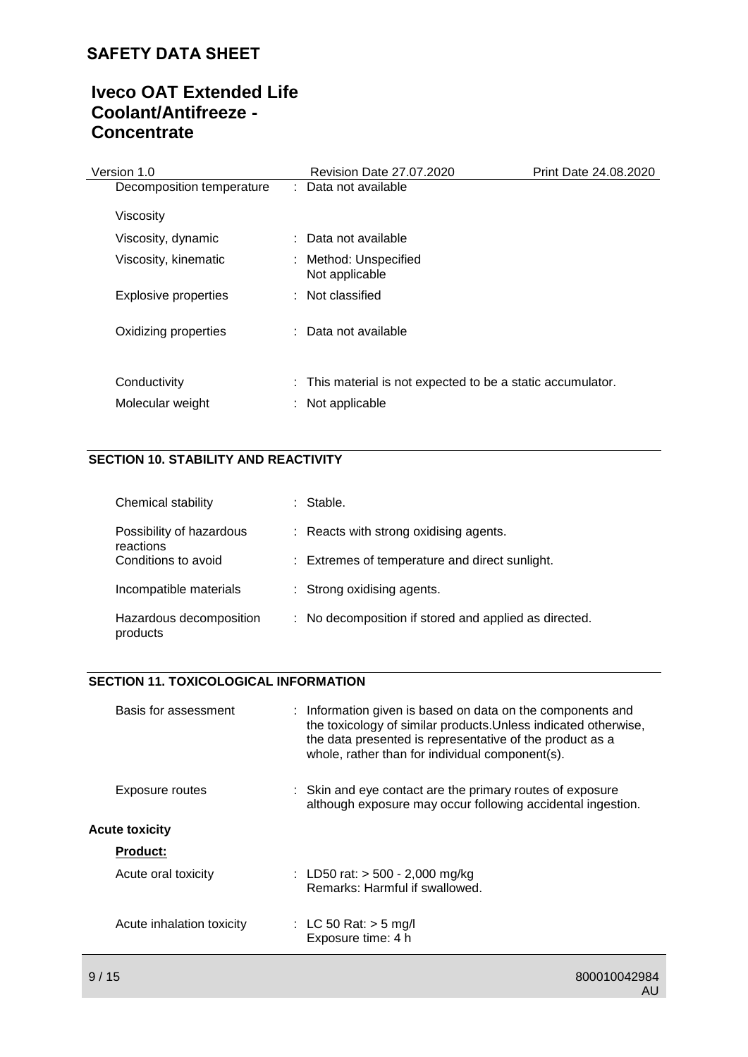# **Iveco OAT Extended Life Coolant/Antifreeze - Concentrate**

| Version 1.0                      | Revision Date 27.07.2020                                                        | Print Date 24.08.2020 |
|----------------------------------|---------------------------------------------------------------------------------|-----------------------|
| Decomposition temperature        | : Data not available                                                            |                       |
| Viscosity                        |                                                                                 |                       |
| Viscosity, dynamic               | : Data not available                                                            |                       |
| Viscosity, kinematic             | : Method: Unspecified<br>Not applicable                                         |                       |
| <b>Explosive properties</b>      | : Not classified                                                                |                       |
| Oxidizing properties             | : Data not available                                                            |                       |
| Conductivity<br>Molecular weight | : This material is not expected to be a static accumulator.<br>: Not applicable |                       |

### **SECTION 10. STABILITY AND REACTIVITY**

| Chemical stability                    | Stable.                                               |
|---------------------------------------|-------------------------------------------------------|
| Possibility of hazardous<br>reactions | : Reacts with strong oxidising agents.                |
| Conditions to avoid                   | : Extremes of temperature and direct sunlight.        |
| Incompatible materials                | : Strong oxidising agents.                            |
| Hazardous decomposition<br>products   | : No decomposition if stored and applied as directed. |

### **SECTION 11. TOXICOLOGICAL INFORMATION**

| Basis for assessment      | : Information given is based on data on the components and<br>the toxicology of similar products. Unless indicated otherwise,<br>the data presented is representative of the product as a<br>whole, rather than for individual component(s). |
|---------------------------|----------------------------------------------------------------------------------------------------------------------------------------------------------------------------------------------------------------------------------------------|
| Exposure routes           | : Skin and eye contact are the primary routes of exposure<br>although exposure may occur following accidental ingestion.                                                                                                                     |
| <b>Acute toxicity</b>     |                                                                                                                                                                                                                                              |
| <b>Product:</b>           |                                                                                                                                                                                                                                              |
| Acute oral toxicity       | : LD50 rat: $>$ 500 - 2,000 mg/kg<br>Remarks: Harmful if swallowed.                                                                                                                                                                          |
| Acute inhalation toxicity | : LC 50 Rat: $>$ 5 mg/l<br>Exposure time: 4 h                                                                                                                                                                                                |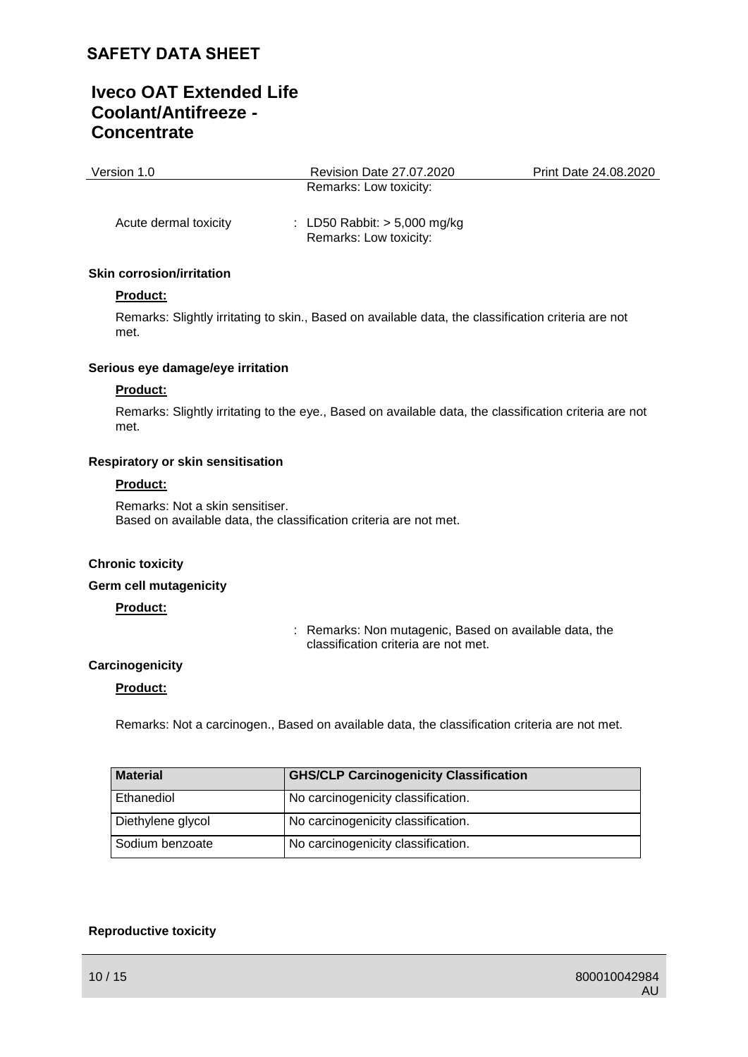# **Iveco OAT Extended Life Coolant/Antifreeze - Concentrate**

| Version 1.0           | Revision Date 27.07.2020       | Print Date 24.08.2020 |
|-----------------------|--------------------------------|-----------------------|
|                       | Remarks: Low toxicity:         |                       |
|                       |                                |                       |
| Acute dermal toxicity | : LD50 Rabbit: $> 5,000$ mg/kg |                       |

Remarks: Low toxicity:

#### **Skin corrosion/irritation**

#### **Product:**

Remarks: Slightly irritating to skin., Based on available data, the classification criteria are not met.

#### **Serious eye damage/eye irritation**

#### **Product:**

Remarks: Slightly irritating to the eye., Based on available data, the classification criteria are not met.

#### **Respiratory or skin sensitisation**

#### **Product:**

Remarks: Not a skin sensitiser. Based on available data, the classification criteria are not met.

#### **Chronic toxicity**

#### **Germ cell mutagenicity**

#### **Product:**

: Remarks: Non mutagenic, Based on available data, the classification criteria are not met.

#### **Carcinogenicity**

#### **Product:**

Remarks: Not a carcinogen., Based on available data, the classification criteria are not met.

| <b>Material</b>   | <b>GHS/CLP Carcinogenicity Classification</b> |
|-------------------|-----------------------------------------------|
| Ethanediol        | No carcinogenicity classification.            |
| Diethylene glycol | No carcinogenicity classification.            |
| Sodium benzoate   | No carcinogenicity classification.            |

#### **Reproductive toxicity**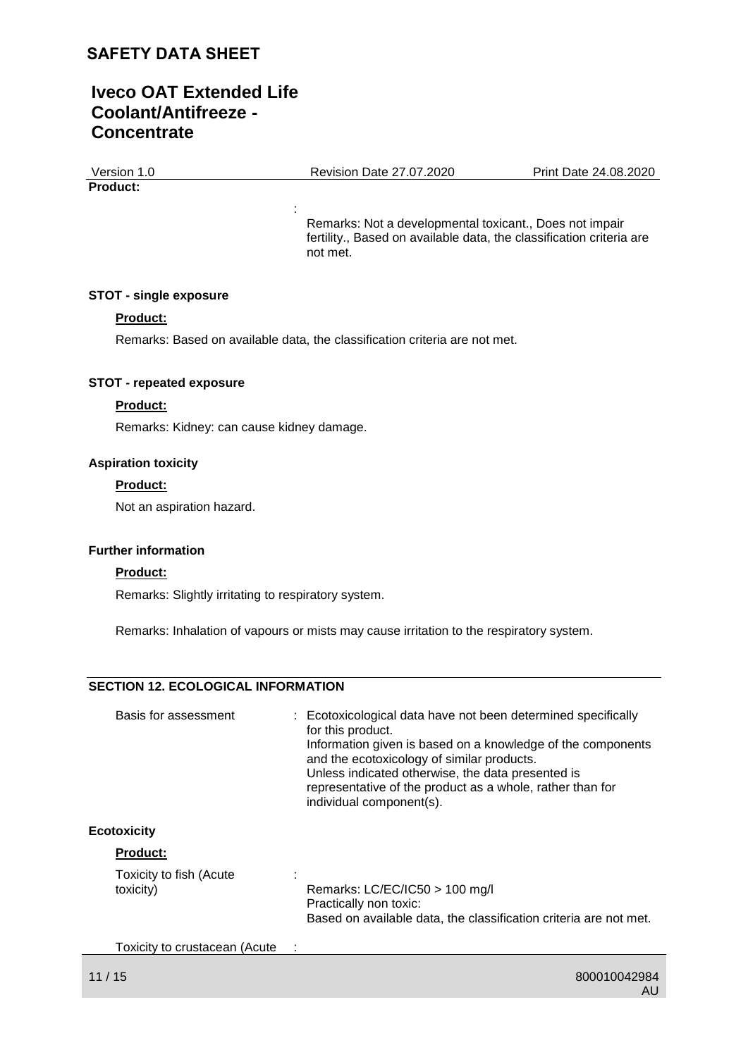# **Iveco OAT Extended Life Coolant/Antifreeze - Concentrate**

Version 1.0 Revision Date 27.07.2020 Print Date 24.08.2020 **Product:**

Remarks: Not a developmental toxicant., Does not impair fertility., Based on available data, the classification criteria are not met.

#### **STOT - single exposure**

#### **Product:**

Remarks: Based on available data, the classification criteria are not met.

:

#### **STOT - repeated exposure**

#### **Product:**

Remarks: Kidney: can cause kidney damage.

#### **Aspiration toxicity**

#### **Product:**

Not an aspiration hazard.

#### **Further information**

#### **Product:**

Remarks: Slightly irritating to respiratory system.

Remarks: Inhalation of vapours or mists may cause irritation to the respiratory system.

#### **SECTION 12. ECOLOGICAL INFORMATION**

| Basis for assessment                 | : Ecotoxicological data have not been determined specifically<br>for this product.<br>Information given is based on a knowledge of the components<br>and the ecotoxicology of similar products.<br>Unless indicated otherwise, the data presented is<br>representative of the product as a whole, rather than for<br>individual component(s). |
|--------------------------------------|-----------------------------------------------------------------------------------------------------------------------------------------------------------------------------------------------------------------------------------------------------------------------------------------------------------------------------------------------|
| <b>Ecotoxicity</b>                   |                                                                                                                                                                                                                                                                                                                                               |
| <b>Product:</b>                      |                                                                                                                                                                                                                                                                                                                                               |
| Toxicity to fish (Acute<br>toxicity) | Remarks: $LC/EC/IC50 > 100$ mg/l<br>Practically non toxic:<br>Based on available data, the classification criteria are not met.                                                                                                                                                                                                               |

Toxicity to crustacean (Acute :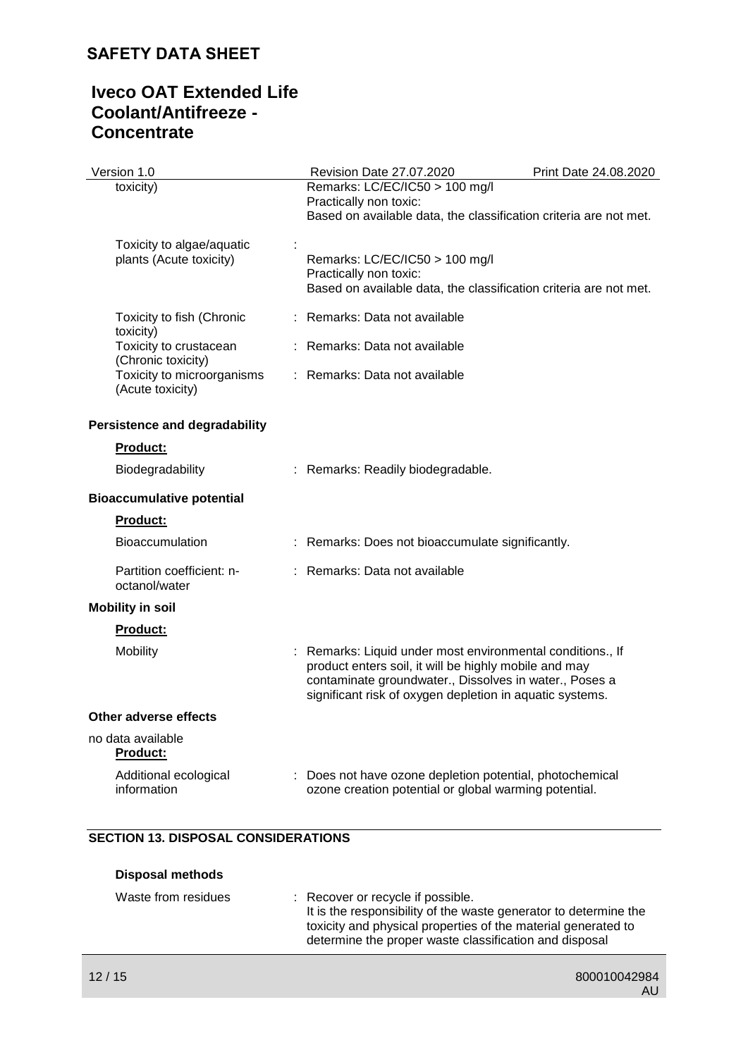# **Iveco OAT Extended Life Coolant/Antifreeze - Concentrate**

| Version 1.0                                          | Revision Date 27.07.2020                                                                                                                                                                                                                  | Print Date 24.08.2020 |
|------------------------------------------------------|-------------------------------------------------------------------------------------------------------------------------------------------------------------------------------------------------------------------------------------------|-----------------------|
| toxicity)                                            | Remarks: LC/EC/IC50 > 100 mg/l<br>Practically non toxic:<br>Based on available data, the classification criteria are not met.                                                                                                             |                       |
| Toxicity to algae/aquatic<br>plants (Acute toxicity) | Remarks: LC/EC/IC50 > 100 mg/l<br>Practically non toxic:<br>Based on available data, the classification criteria are not met.                                                                                                             |                       |
| Toxicity to fish (Chronic<br>toxicity)               | : Remarks: Data not available                                                                                                                                                                                                             |                       |
| Toxicity to crustacean<br>(Chronic toxicity)         | : Remarks: Data not available                                                                                                                                                                                                             |                       |
| Toxicity to microorganisms<br>(Acute toxicity)       | : Remarks: Data not available                                                                                                                                                                                                             |                       |
| <b>Persistence and degradability</b>                 |                                                                                                                                                                                                                                           |                       |
| <b>Product:</b>                                      |                                                                                                                                                                                                                                           |                       |
| Biodegradability                                     | : Remarks: Readily biodegradable.                                                                                                                                                                                                         |                       |
| <b>Bioaccumulative potential</b>                     |                                                                                                                                                                                                                                           |                       |
| Product:                                             |                                                                                                                                                                                                                                           |                       |
| <b>Bioaccumulation</b>                               | : Remarks: Does not bioaccumulate significantly.                                                                                                                                                                                          |                       |
| Partition coefficient: n-<br>octanol/water           | : Remarks: Data not available                                                                                                                                                                                                             |                       |
| <b>Mobility in soil</b>                              |                                                                                                                                                                                                                                           |                       |
| <b>Product:</b>                                      |                                                                                                                                                                                                                                           |                       |
| Mobility                                             | : Remarks: Liquid under most environmental conditions., If<br>product enters soil, it will be highly mobile and may<br>contaminate groundwater., Dissolves in water., Poses a<br>significant risk of oxygen depletion in aquatic systems. |                       |
| Other adverse effects                                |                                                                                                                                                                                                                                           |                       |
| no data available<br>Product:                        |                                                                                                                                                                                                                                           |                       |
| Additional ecological<br>information                 | : Does not have ozone depletion potential, photochemical<br>ozone creation potential or global warming potential.                                                                                                                         |                       |

### **SECTION 13. DISPOSAL CONSIDERATIONS**

| <b>Disposal methods</b> |                                                                                                                                                                                                                                  |
|-------------------------|----------------------------------------------------------------------------------------------------------------------------------------------------------------------------------------------------------------------------------|
| Waste from residues     | : Recover or recycle if possible.<br>It is the responsibility of the waste generator to determine the<br>toxicity and physical properties of the material generated to<br>determine the proper waste classification and disposal |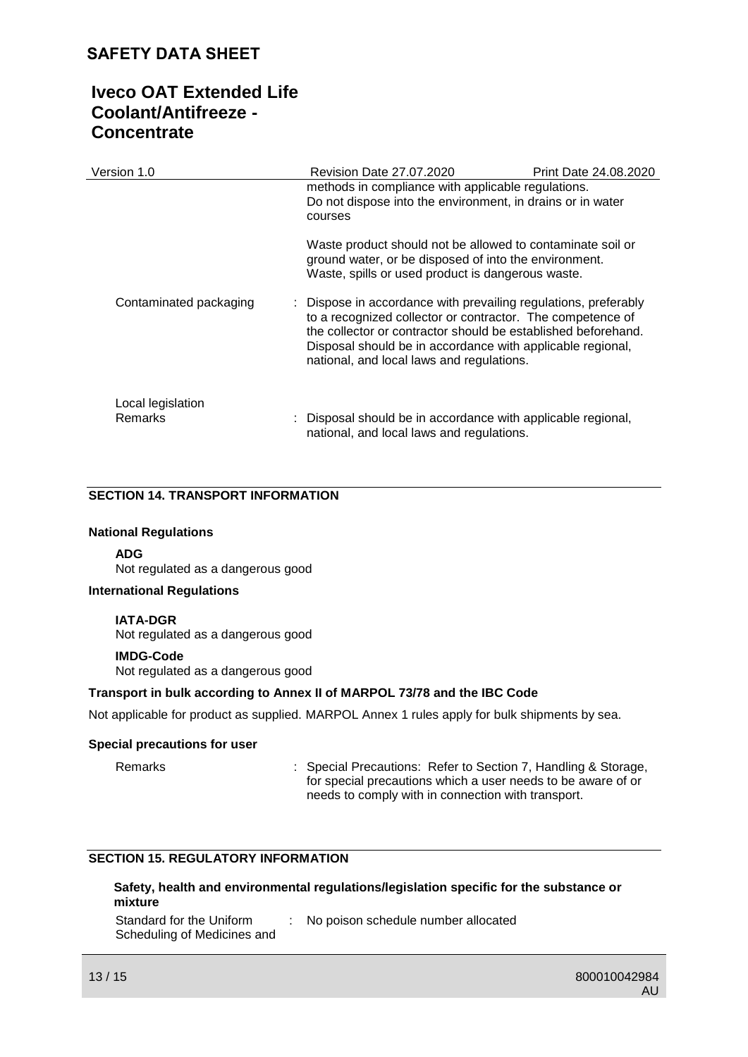# **Iveco OAT Extended Life Coolant/Antifreeze - Concentrate**

| Version 1.0                  | Revision Date 27.07.2020                                                                                                                                                                                                                                                                                  | Print Date 24.08.2020 |
|------------------------------|-----------------------------------------------------------------------------------------------------------------------------------------------------------------------------------------------------------------------------------------------------------------------------------------------------------|-----------------------|
|                              | methods in compliance with applicable regulations.<br>Do not dispose into the environment, in drains or in water<br>courses                                                                                                                                                                               |                       |
|                              | Waste product should not be allowed to contaminate soil or<br>ground water, or be disposed of into the environment.<br>Waste, spills or used product is dangerous waste.                                                                                                                                  |                       |
| Contaminated packaging       | : Dispose in accordance with prevailing regulations, preferably<br>to a recognized collector or contractor. The competence of<br>the collector or contractor should be established beforehand.<br>Disposal should be in accordance with applicable regional,<br>national, and local laws and regulations. |                       |
| Local legislation<br>Remarks | : Disposal should be in accordance with applicable regional,<br>national, and local laws and regulations.                                                                                                                                                                                                 |                       |

#### **SECTION 14. TRANSPORT INFORMATION**

#### **National Regulations**

#### **ADG**

Not regulated as a dangerous good

#### **International Regulations**

#### **IATA-DGR**

Not regulated as a dangerous good

#### **IMDG-Code**

Not regulated as a dangerous good

#### **Transport in bulk according to Annex II of MARPOL 73/78 and the IBC Code**

Not applicable for product as supplied. MARPOL Annex 1 rules apply for bulk shipments by sea.

#### **Special precautions for user**

Remarks : Special Precautions: Refer to Section 7, Handling & Storage, for special precautions which a user needs to be aware of or needs to comply with in connection with transport.

### **SECTION 15. REGULATORY INFORMATION**

#### **Safety, health and environmental regulations/legislation specific for the substance or mixture**

Standard for the Uniform Scheduling of Medicines and : No poison schedule number allocated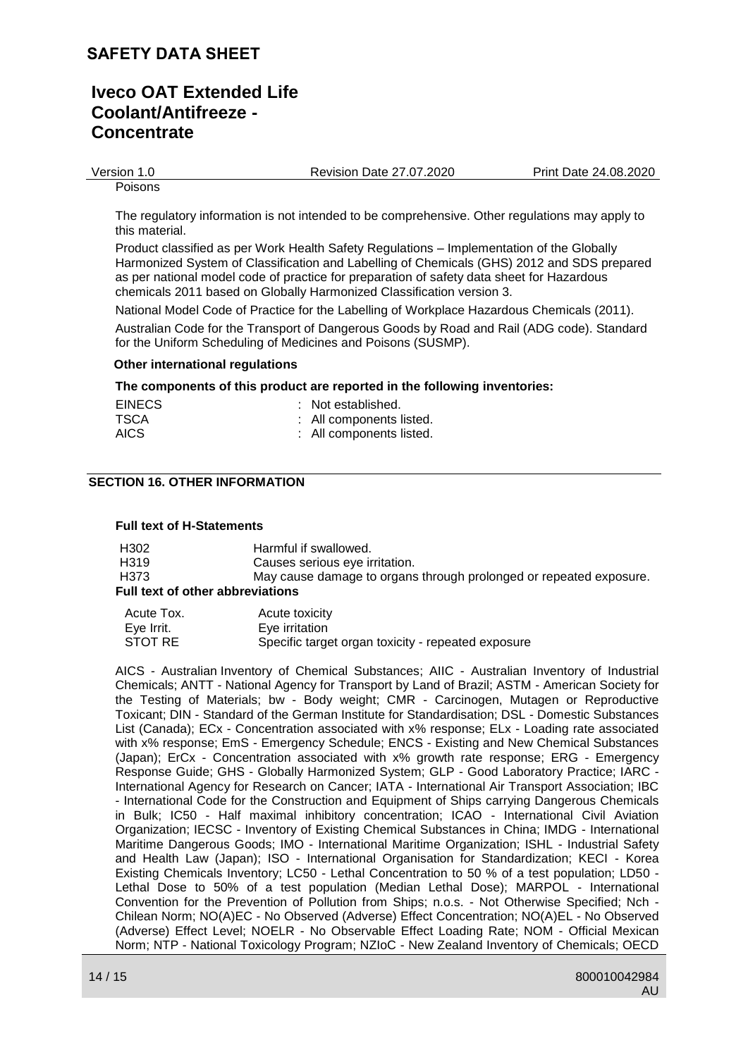### **Iveco OAT Extended Life Coolant/Antifreeze - Concentrate**

Version 1.0 Revision Date 27.07.2020 Print Date 24.08.2020

Poisons

The regulatory information is not intended to be comprehensive. Other regulations may apply to this material.

Product classified as per Work Health Safety Regulations – Implementation of the Globally Harmonized System of Classification and Labelling of Chemicals (GHS) 2012 and SDS prepared as per national model code of practice for preparation of safety data sheet for Hazardous chemicals 2011 based on Globally Harmonized Classification version 3.

National Model Code of Practice for the Labelling of Workplace Hazardous Chemicals (2011).

Australian Code for the Transport of Dangerous Goods by Road and Rail (ADG code). Standard for the Uniform Scheduling of Medicines and Poisons (SUSMP).

#### **Other international regulations**

#### **The components of this product are reported in the following inventories:**

| <b>EINECS</b> | : Not established.       |
|---------------|--------------------------|
| TSCA          | : All components listed. |
| <b>AICS</b>   | : All components listed. |

#### **SECTION 16. OTHER INFORMATION**

#### **Full text of H-Statements**

| H302                             | Harmful if swallowed.                                              |  |
|----------------------------------|--------------------------------------------------------------------|--|
| H319                             | Causes serious eye irritation.                                     |  |
| H373                             | May cause damage to organs through prolonged or repeated exposure. |  |
| Full text of other abbreviations |                                                                    |  |

| Acute Tox. | Acute toxicity                                     |
|------------|----------------------------------------------------|
| Eve Irrit. | Eye irritation                                     |
| STOT RE    | Specific target organ toxicity - repeated exposure |

AICS - Australian Inventory of Chemical Substances; AIIC - Australian Inventory of Industrial Chemicals; ANTT - National Agency for Transport by Land of Brazil; ASTM - American Society for the Testing of Materials; bw - Body weight; CMR - Carcinogen, Mutagen or Reproductive Toxicant; DIN - Standard of the German Institute for Standardisation; DSL - Domestic Substances List (Canada); ECx - Concentration associated with x% response; ELx - Loading rate associated with x% response; EmS - Emergency Schedule; ENCS - Existing and New Chemical Substances (Japan); ErCx - Concentration associated with x% growth rate response; ERG - Emergency Response Guide; GHS - Globally Harmonized System; GLP - Good Laboratory Practice; IARC - International Agency for Research on Cancer; IATA - International Air Transport Association; IBC - International Code for the Construction and Equipment of Ships carrying Dangerous Chemicals in Bulk; IC50 - Half maximal inhibitory concentration; ICAO - International Civil Aviation Organization; IECSC - Inventory of Existing Chemical Substances in China; IMDG - International Maritime Dangerous Goods; IMO - International Maritime Organization; ISHL - Industrial Safety and Health Law (Japan); ISO - International Organisation for Standardization; KECI - Korea Existing Chemicals Inventory; LC50 - Lethal Concentration to 50 % of a test population; LD50 - Lethal Dose to 50% of a test population (Median Lethal Dose); MARPOL - International Convention for the Prevention of Pollution from Ships; n.o.s. - Not Otherwise Specified; Nch - Chilean Norm; NO(A)EC - No Observed (Adverse) Effect Concentration; NO(A)EL - No Observed (Adverse) Effect Level; NOELR - No Observable Effect Loading Rate; NOM - Official Mexican Norm; NTP - National Toxicology Program; NZIoC - New Zealand Inventory of Chemicals; OECD